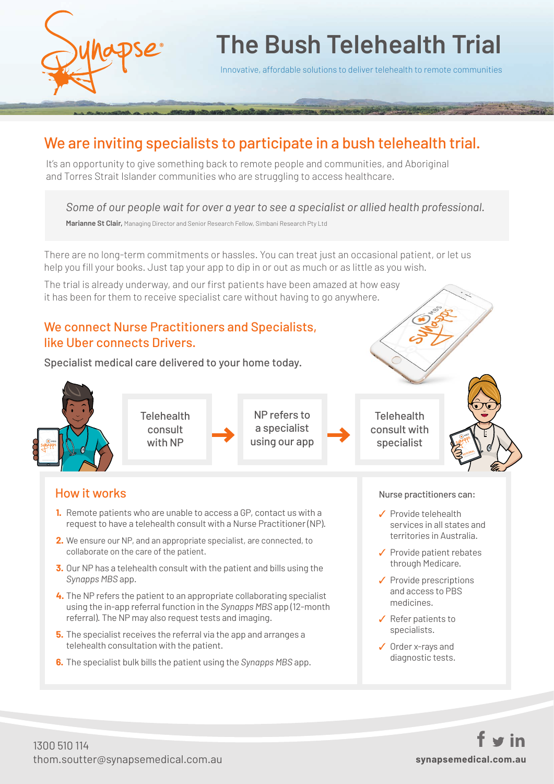

# **The Bush Telehealth Trial**

Innovative, affordable solutions to deliver telehealth to remote communities

## We are inviting specialists to participate in a bush telehealth trial.

It's an opportunity to give something back to remote people and communities, and Aboriginal and Torres Strait Islander communities who are struggling to access healthcare.

*Some of our people wait for over a year to see a specialist or allied health professional.*

**Marianne St Clair,** Managing Director and Senior Research Fellow, Simbani Research Pty Ltd

There are no long-term commitments or hassles. You can treat just an occasional patient, or let us help you fill your books. Just tap your app to dip in or out as much or as little as you wish.

The trial is already underway, and our first patients have been amazed at how easy it has been for them to receive specialist care without having to go anywhere.

### We connect Nurse Practitioners and Specialists, like Uber connects Drivers.

Specialist medical care delivered to your home today.

referral). The NP may also request tests and imaging.

telehealth consultation with the patient.

**5.** The specialist receives the referral via the app and arranges a

**6.** The specialist bulk bills the patient using the *Synapps MBS* app.



- ✓ Refer patients to specialists.
	- ✓ Order x-rays and diagnostic tests.

1300 510 114 thom.soutter@synapsemedical.com.au